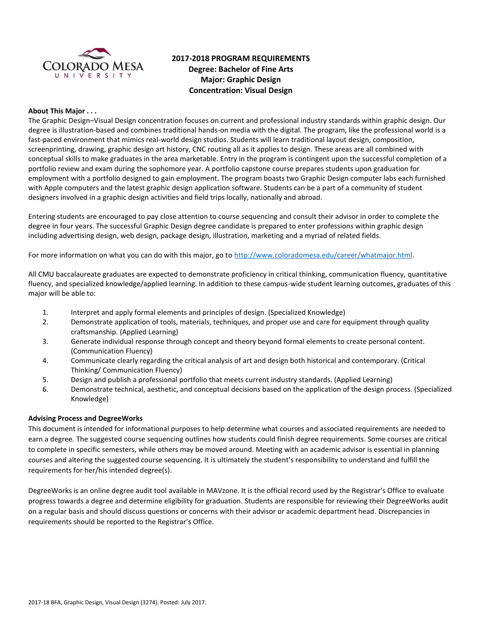

# **2017-2018 PROGRAM REQUIREMENTS Degree: Bachelor of Fine Arts Major: Graphic Design Concentration: Visual Design**

### **About This Major . . .**

The Graphic Design–Visual Design concentration focuses on current and professional industry standards within graphic design. Our degree is illustration-based and combines traditional hands-on media with the digital. The program, like the professional world is a fast-paced environment that mimics real-world design studios. Students will learn traditional layout design, composition, screenprinting, drawing, graphic design art history, CNC routing all as it applies to design. These areas are all combined with conceptual skills to make graduates in the area marketable. Entry in the program is contingent upon the successful completion of a portfolio review and exam during the sophomore year. A portfolio capstone course prepares students upon graduation for employment with a portfolio designed to gain employment. The program boasts two Graphic Design computer labs each furnished with Apple computers and the latest graphic design application software. Students can be a part of a community of student designers involved in a graphic design activities and field trips locally, nationally and abroad.

Entering students are encouraged to pay close attention to course sequencing and consult their advisor in order to complete the degree in four years. The successful Graphic Design degree candidate is prepared to enter professions within graphic design including advertising design, web design, package design, illustration, marketing and a myriad of related fields.

For more information on what you can do with this major, go t[o http://www.coloradomesa.edu/career/whatmajor.html.](http://www.coloradomesa.edu/career/whatmajor.html)

All CMU baccalaureate graduates are expected to demonstrate proficiency in critical thinking, communication fluency, quantitative fluency, and specialized knowledge/applied learning. In addition to these campus-wide student learning outcomes, graduates of this major will be able to:

- 1. Interpret and apply formal elements and principles of design. (Specialized Knowledge)
- 2. Demonstrate application of tools, materials, techniques, and proper use and care for equipment through quality craftsmanship. (Applied Learning)
- 3. Generate individual response through concept and theory beyond formal elements to create personal content. (Communication Fluency)
- 4. Communicate clearly regarding the critical analysis of art and design both historical and contemporary. (Critical Thinking/ Communication Fluency)
- 5. Design and publish a professional portfolio that meets current industry standards. (Applied Learning)
- 6. Demonstrate technical, aesthetic, and conceptual decisions based on the application of the design process. (Specialized Knowledge)

#### **Advising Process and DegreeWorks**

This document is intended for informational purposes to help determine what courses and associated requirements are needed to earn a degree. The suggested course sequencing outlines how students could finish degree requirements. Some courses are critical to complete in specific semesters, while others may be moved around. Meeting with an academic advisor is essential in planning courses and altering the suggested course sequencing. It is ultimately the student's responsibility to understand and fulfill the requirements for her/his intended degree(s).

DegreeWorks is an online degree audit tool available in MAVzone. It is the official record used by the Registrar's Office to evaluate progress towards a degree and determine eligibility for graduation. Students are responsible for reviewing their DegreeWorks audit on a regular basis and should discuss questions or concerns with their advisor or academic department head. Discrepancies in requirements should be reported to the Registrar's Office.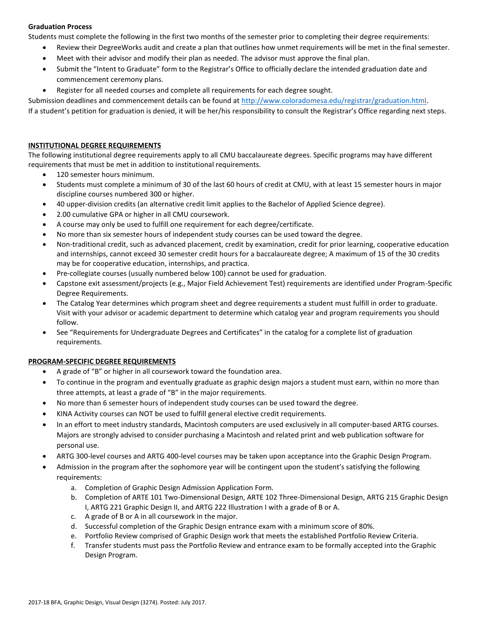## **Graduation Process**

Students must complete the following in the first two months of the semester prior to completing their degree requirements:

- Review their DegreeWorks audit and create a plan that outlines how unmet requirements will be met in the final semester.
- Meet with their advisor and modify their plan as needed. The advisor must approve the final plan.
- Submit the "Intent to Graduate" form to the Registrar's Office to officially declare the intended graduation date and commencement ceremony plans.
- Register for all needed courses and complete all requirements for each degree sought.

Submission deadlines and commencement details can be found at [http://www.coloradomesa.edu/registrar/graduation.html.](http://www.coloradomesa.edu/registrar/graduation.html)

If a student's petition for graduation is denied, it will be her/his responsibility to consult the Registrar's Office regarding next steps.

## **INSTITUTIONAL DEGREE REQUIREMENTS**

The following institutional degree requirements apply to all CMU baccalaureate degrees. Specific programs may have different requirements that must be met in addition to institutional requirements.

- 120 semester hours minimum.
- Students must complete a minimum of 30 of the last 60 hours of credit at CMU, with at least 15 semester hours in major discipline courses numbered 300 or higher.
- 40 upper-division credits (an alternative credit limit applies to the Bachelor of Applied Science degree).
- 2.00 cumulative GPA or higher in all CMU coursework.
- A course may only be used to fulfill one requirement for each degree/certificate.
- No more than six semester hours of independent study courses can be used toward the degree.
- Non-traditional credit, such as advanced placement, credit by examination, credit for prior learning, cooperative education and internships, cannot exceed 30 semester credit hours for a baccalaureate degree; A maximum of 15 of the 30 credits may be for cooperative education, internships, and practica.
- Pre-collegiate courses (usually numbered below 100) cannot be used for graduation.
- Capstone exit assessment/projects (e.g., Major Field Achievement Test) requirements are identified under Program-Specific Degree Requirements.
- The Catalog Year determines which program sheet and degree requirements a student must fulfill in order to graduate. Visit with your advisor or academic department to determine which catalog year and program requirements you should follow.
- See "Requirements for Undergraduate Degrees and Certificates" in the catalog for a complete list of graduation requirements.

## **PROGRAM-SPECIFIC DEGREE REQUIREMENTS**

- A grade of "B" or higher in all coursework toward the foundation area.
- To continue in the program and eventually graduate as graphic design majors a student must earn, within no more than three attempts, at least a grade of "B" in the major requirements.
- No more than 6 semester hours of independent study courses can be used toward the degree.
- KINA Activity courses can NOT be used to fulfill general elective credit requirements.
- In an effort to meet industry standards, Macintosh computers are used exclusively in all computer-based ARTG courses. Majors are strongly advised to consider purchasing a Macintosh and related print and web publication software for personal use.
- ARTG 300-level courses and ARTG 400-level courses may be taken upon acceptance into the Graphic Design Program.
- Admission in the program after the sophomore year will be contingent upon the student's satisfying the following requirements:
	- a. Completion of Graphic Design Admission Application Form.
	- b. Completion of ARTE 101 Two-Dimensional Design, ARTE 102 Three-Dimensional Design, ARTG 215 Graphic Design I, ARTG 221 Graphic Design II, and ARTG 222 Illustration I with a grade of B or A.
	- c. A grade of B or A in all coursework in the major.
	- d. Successful completion of the Graphic Design entrance exam with a minimum score of 80%.
	- e. Portfolio Review comprised of Graphic Design work that meets the established Portfolio Review Criteria.
	- f. Transfer students must pass the Portfolio Review and entrance exam to be formally accepted into the Graphic Design Program.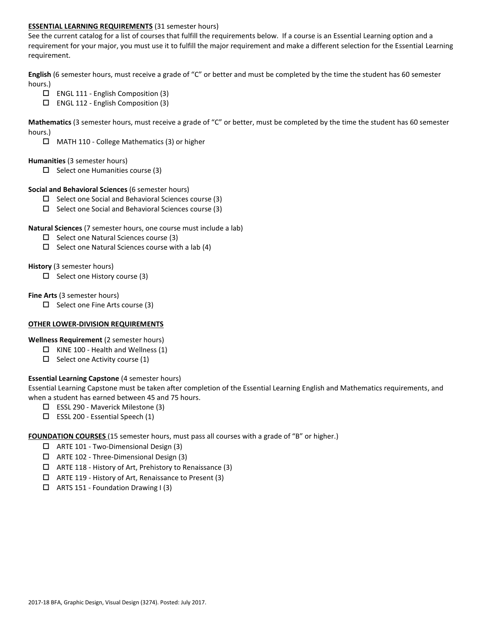## **ESSENTIAL LEARNING REQUIREMENTS** (31 semester hours)

See the current catalog for a list of courses that fulfill the requirements below. If a course is an Essential Learning option and a requirement for your major, you must use it to fulfill the major requirement and make a different selection for the Essential Learning requirement.

**English** (6 semester hours, must receive a grade of "C" or better and must be completed by the time the student has 60 semester hours.)

- ENGL 111 English Composition (3)
- ENGL 112 English Composition (3)

**Mathematics** (3 semester hours, must receive a grade of "C" or better, must be completed by the time the student has 60 semester hours.)

MATH 110 - College Mathematics (3) or higher

#### **Humanities** (3 semester hours)

 $\Box$  Select one Humanities course (3)

#### **Social and Behavioral Sciences** (6 semester hours)

- $\Box$  Select one Social and Behavioral Sciences course (3)
- $\Box$  Select one Social and Behavioral Sciences course (3)

### **Natural Sciences** (7 semester hours, one course must include a lab)

- $\square$  Select one Natural Sciences course (3)
- $\Box$  Select one Natural Sciences course with a lab (4)

### **History** (3 semester hours)

 $\Box$  Select one History course (3)

### **Fine Arts** (3 semester hours)

 $\Box$  Select one Fine Arts course (3)

#### **OTHER LOWER-DIVISION REQUIREMENTS**

**Wellness Requirement** (2 semester hours)

- $\Box$  KINE 100 Health and Wellness (1)
- $\Box$  Select one Activity course (1)

## **Essential Learning Capstone** (4 semester hours)

Essential Learning Capstone must be taken after completion of the Essential Learning English and Mathematics requirements, and when a student has earned between 45 and 75 hours.

- ESSL 290 Maverick Milestone (3)
- $\square$  ESSL 200 Essential Speech (1)

**FOUNDATION COURSES** (15 semester hours, must pass all courses with a grade of "B" or higher.)

- ARTE 101 Two-Dimensional Design (3)
- ARTE 102 Three-Dimensional Design (3)
- $\Box$  ARTE 118 History of Art, Prehistory to Renaissance (3)
- ARTE 119 History of Art, Renaissance to Present (3)
- $\Box$  ARTS 151 Foundation Drawing I (3)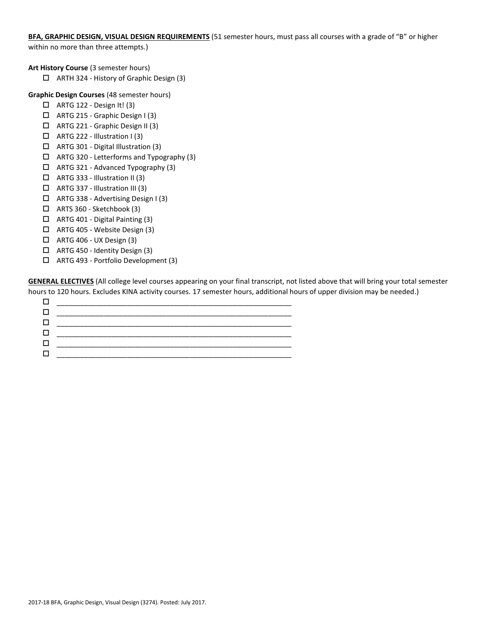**BFA, GRAPHIC DESIGN, VISUAL DESIGN REQUIREMENTS** (51 semester hours, must pass all courses with a grade of "B" or higher within no more than three attempts.)

**Art History Course** (3 semester hours)

ARTH 324 - History of Graphic Design (3)

**Graphic Design Courses** (48 semester hours)

- $\Box$  ARTG 122 Design It! (3)
- ARTG 215 Graphic Design I (3)
- ARTG 221 Graphic Design II (3)
- $\Box$  ARTG 222 Illustration I (3)
- ARTG 301 Digital Illustration (3)
- $\Box$  ARTG 320 Letterforms and Typography (3)
- $\Box$  ARTG 321 Advanced Typography (3)
- $\Box$  ARTG 333 Illustration II (3)
- $\Box$  ARTG 337 Illustration III (3)
- ARTG 338 Advertising Design I (3)
- $\Box$  ARTS 360 Sketchbook (3)
- $\Box$  ARTG 401 Digital Painting (3)
- ARTG 405 Website Design (3)
- $\Box$  ARTG 406 UX Design (3)
- ARTG 450 Identity Design (3)
- ARTG 493 Portfolio Development (3)

**GENERAL ELECTIVES** (All college level courses appearing on your final transcript, not listed above that will bring your total semester hours to 120 hours. Excludes KINA activity courses. 17 semester hours, additional hours of upper division may be needed.)

| . . |  |
|-----|--|
| . . |  |
| . . |  |
|     |  |